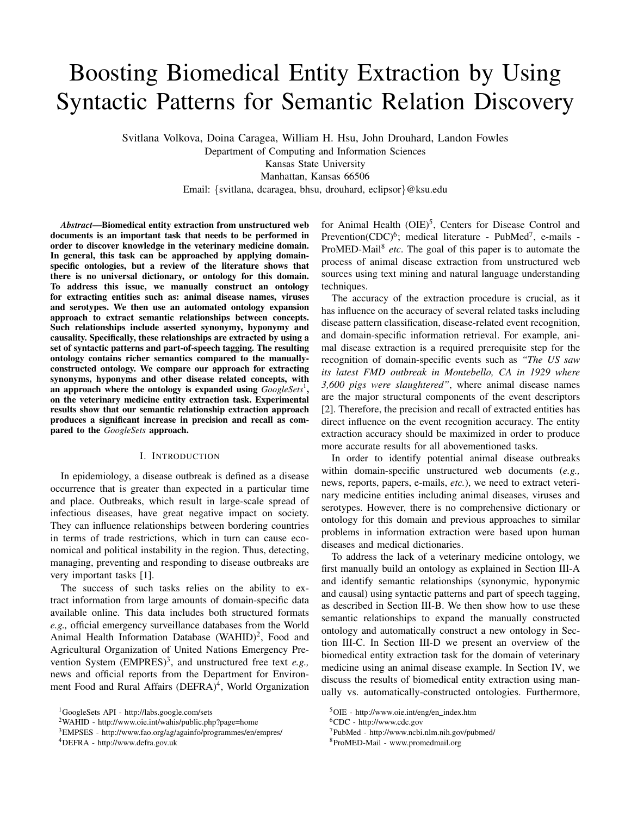# Boosting Biomedical Entity Extraction by Using Syntactic Patterns for Semantic Relation Discovery

Svitlana Volkova, Doina Caragea, William H. Hsu, John Drouhard, Landon Fowles Department of Computing and Information Sciences Kansas State University

Manhattan, Kansas 66506 Email: {svitlana, dcaragea, bhsu, drouhard, eclipsor}@ksu.edu

*Abstract*—Biomedical entity extraction from unstructured web documents is an important task that needs to be performed in order to discover knowledge in the veterinary medicine domain. In general, this task can be approached by applying domainspecific ontologies, but a review of the literature shows that there is no universal dictionary, or ontology for this domain. To address this issue, we manually construct an ontology for extracting entities such as: animal disease names, viruses and serotypes. We then use an automated ontology expansion approach to extract semantic relationships between concepts. Such relationships include asserted synonymy, hyponymy and causality. Specifically, these relationships are extracted by using a set of syntactic patterns and part-of-speech tagging. The resulting ontology contains richer semantics compared to the manuallyconstructed ontology. We compare our approach for extracting synonyms, hyponyms and other disease related concepts, with an approach where the ontology is expanded using *GoogleSets*<sup>1</sup>, on the veterinary medicine entity extraction task. Experimental results show that our semantic relationship extraction approach produces a significant increase in precision and recall as compared to the *GoogleSets* approach.

#### I. INTRODUCTION

In epidemiology, a disease outbreak is defined as a disease occurrence that is greater than expected in a particular time and place. Outbreaks, which result in large-scale spread of infectious diseases, have great negative impact on society. They can influence relationships between bordering countries in terms of trade restrictions, which in turn can cause economical and political instability in the region. Thus, detecting, managing, preventing and responding to disease outbreaks are very important tasks [1].

The success of such tasks relies on the ability to extract information from large amounts of domain-specific data available online. This data includes both structured formats *e.g.,* official emergency surveillance databases from the World Animal Health Information Database (WAHID)<sup>2</sup>, Food and Agricultural Organization of United Nations Emergency Prevention System  $(EMPRES)^3$ , and unstructured free text *e.g.*, news and official reports from the Department for Environment Food and Rural Affairs (DEFRA)<sup>4</sup>, World Organization

for Animal Health (OIE)<sup>5</sup>, Centers for Disease Control and Prevention(CDC)<sup>6</sup>; medical literature - PubMed<sup>7</sup>, e-mails -ProMED-Mail<sup>8</sup> etc. The goal of this paper is to automate the process of animal disease extraction from unstructured web sources using text mining and natural language understanding techniques.

The accuracy of the extraction procedure is crucial, as it has influence on the accuracy of several related tasks including disease pattern classification, disease-related event recognition, and domain-specific information retrieval. For example, animal disease extraction is a required prerequisite step for the recognition of domain-specific events such as *"The US saw its latest FMD outbreak in Montebello, CA in 1929 where 3,600 pigs were slaughtered"*, where animal disease names are the major structural components of the event descriptors [2]. Therefore, the precision and recall of extracted entities has direct influence on the event recognition accuracy. The entity extraction accuracy should be maximized in order to produce more accurate results for all abovementioned tasks.

In order to identify potential animal disease outbreaks within domain-specific unstructured web documents (*e.g.,* news, reports, papers, e-mails, *etc.*), we need to extract veterinary medicine entities including animal diseases, viruses and serotypes. However, there is no comprehensive dictionary or ontology for this domain and previous approaches to similar problems in information extraction were based upon human diseases and medical dictionaries.

To address the lack of a veterinary medicine ontology, we first manually build an ontology as explained in Section III-A and identify semantic relationships (synonymic, hyponymic and causal) using syntactic patterns and part of speech tagging, as described in Section III-B. We then show how to use these semantic relationships to expand the manually constructed ontology and automatically construct a new ontology in Section III-C. In Section III-D we present an overview of the biomedical entity extraction task for the domain of veterinary medicine using an animal disease example. In Section IV, we discuss the results of biomedical entity extraction using manually vs. automatically-constructed ontologies. Furthermore,

<sup>1</sup>GoogleSets API - http://labs.google.com/sets

<sup>2</sup>WAHID - http://www.oie.int/wahis/public.php?page=home

<sup>3</sup>EMPSES - http://www.fao.org/ag/againfo/programmes/en/empres/

<sup>4</sup>DEFRA - http://www.defra.gov.uk

<sup>&</sup>lt;sup>5</sup>OIE - http://www.oie.int/eng/en\_index.htm

<sup>6</sup>CDC - http://www.cdc.gov

<sup>7</sup>PubMed - http://www.ncbi.nlm.nih.gov/pubmed/

<sup>8</sup>ProMED-Mail - www.promedmail.org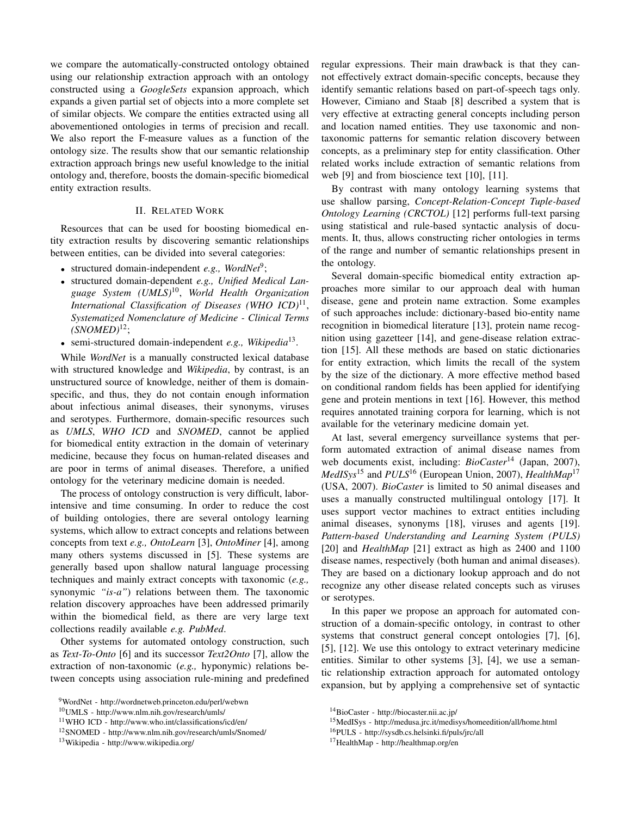we compare the automatically-constructed ontology obtained using our relationship extraction approach with an ontology constructed using a *GoogleSets* expansion approach, which expands a given partial set of objects into a more complete set of similar objects. We compare the entities extracted using all abovementioned ontologies in terms of precision and recall. We also report the F-measure values as a function of the ontology size. The results show that our semantic relationship extraction approach brings new useful knowledge to the initial ontology and, therefore, boosts the domain-specific biomedical entity extraction results.

## II. RELATED WORK

Resources that can be used for boosting biomedical entity extraction results by discovering semantic relationships between entities, can be divided into several categories:

- structured domain-independent *e.g., WordNet*<sup>9</sup> ;
- structured domain-dependent *e.g., Unified Medical Language System (UMLS)*<sup>10</sup> , *World Health Organization International Classification of Diseases (WHO ICD)*<sup>11</sup> , *Systematized Nomenclature of Medicine - Clinical Terms (SNOMED)*<sup>12</sup>;
- semi-structured domain-independent *e.g., Wikipedia*<sup>13</sup> .

While *WordNet* is a manually constructed lexical database with structured knowledge and *Wikipedia*, by contrast, is an unstructured source of knowledge, neither of them is domainspecific, and thus, they do not contain enough information about infectious animal diseases, their synonyms, viruses and serotypes. Furthermore, domain-specific resources such as *UMLS*, *WHO ICD* and *SNOMED*, cannot be applied for biomedical entity extraction in the domain of veterinary medicine, because they focus on human-related diseases and are poor in terms of animal diseases. Therefore, a unified ontology for the veterinary medicine domain is needed.

The process of ontology construction is very difficult, laborintensive and time consuming. In order to reduce the cost of building ontologies, there are several ontology learning systems, which allow to extract concepts and relations between concepts from text *e.g., OntoLearn* [3], *OntoMiner* [4], among many others systems discussed in [5]. These systems are generally based upon shallow natural language processing techniques and mainly extract concepts with taxonomic (*e.g.,* synonymic *"is-a"*) relations between them. The taxonomic relation discovery approaches have been addressed primarily within the biomedical field, as there are very large text collections readily available *e.g. PubMed*.

Other systems for automated ontology construction, such as *Text-To-Onto* [6] and its successor *Text2Onto* [7], allow the extraction of non-taxonomic (*e.g.,* hyponymic) relations between concepts using association rule-mining and predefined regular expressions. Their main drawback is that they cannot effectively extract domain-specific concepts, because they identify semantic relations based on part-of-speech tags only. However, Cimiano and Staab [8] described a system that is very effective at extracting general concepts including person and location named entities. They use taxonomic and nontaxonomic patterns for semantic relation discovery between concepts, as a preliminary step for entity classification. Other related works include extraction of semantic relations from web [9] and from bioscience text [10], [11].

By contrast with many ontology learning systems that use shallow parsing, *Concept-Relation-Concept Tuple-based Ontology Learning (CRCTOL)* [12] performs full-text parsing using statistical and rule-based syntactic analysis of documents. It, thus, allows constructing richer ontologies in terms of the range and number of semantic relationships present in the ontology.

Several domain-specific biomedical entity extraction approaches more similar to our approach deal with human disease, gene and protein name extraction. Some examples of such approaches include: dictionary-based bio-entity name recognition in biomedical literature [13], protein name recognition using gazetteer [14], and gene-disease relation extraction [15]. All these methods are based on static dictionaries for entity extraction, which limits the recall of the system by the size of the dictionary. A more effective method based on conditional random fields has been applied for identifying gene and protein mentions in text [16]. However, this method requires annotated training corpora for learning, which is not available for the veterinary medicine domain yet.

At last, several emergency surveillance systems that perform automated extraction of animal disease names from web documents exist, including: *BioCaster*<sup>14</sup> (Japan, 2007), *MedISys*<sup>15</sup> and *PULS*<sup>16</sup> (European Union, 2007), *HealthMap*<sup>17</sup> (USA, 2007). *BioCaster* is limited to 50 animal diseases and uses a manually constructed multilingual ontology [17]. It uses support vector machines to extract entities including animal diseases, synonyms [18], viruses and agents [19]. *Pattern-based Understanding and Learning System (PULS)* [20] and *HealthMap* [21] extract as high as 2400 and 1100 disease names, respectively (both human and animal diseases). They are based on a dictionary lookup approach and do not recognize any other disease related concepts such as viruses or serotypes.

In this paper we propose an approach for automated construction of a domain-specific ontology, in contrast to other systems that construct general concept ontologies [7], [6], [5], [12]. We use this ontology to extract veterinary medicine entities. Similar to other systems [3], [4], we use a semantic relationship extraction approach for automated ontology expansion, but by applying a comprehensive set of syntactic

<sup>16</sup>PULS - http://sysdb.cs.helsinki.fi/puls/jrc/all

<sup>9</sup>WordNet - http://wordnetweb.princeton.edu/perl/webwn

<sup>10</sup>UMLS - http://www.nlm.nih.gov/research/umls/

<sup>11</sup>WHO ICD - http://www.who.int/classifications/icd/en/

<sup>12</sup>SNOMED - http://www.nlm.nih.gov/research/umls/Snomed/

<sup>13</sup>Wikipedia - http://www.wikipedia.org/

<sup>14</sup>BioCaster - http://biocaster.nii.ac.jp/

<sup>15</sup>MedISys - http://medusa.jrc.it/medisys/homeedition/all/home.html

<sup>17</sup>HealthMap - http://healthmap.org/en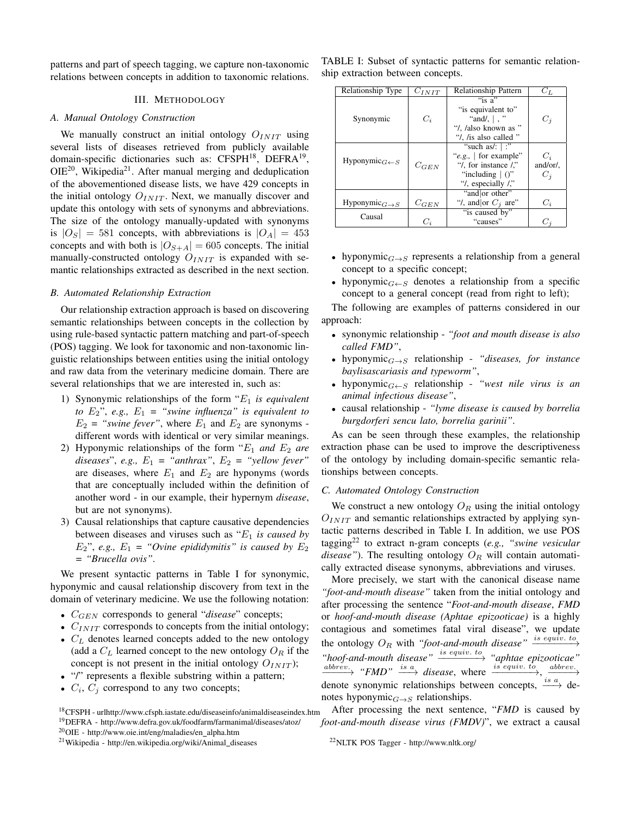patterns and part of speech tagging, we capture non-taxonomic relations between concepts in addition to taxonomic relations.

#### III. METHODOLOGY

## *A. Manual Ontology Construction*

We manually construct an initial ontology  $O_{INT}$  using several lists of diseases retrieved from publicly available domain-specific dictionaries such as: CFSPH<sup>18</sup>, DEFRA<sup>19</sup>,  $OIE^{20}$ , Wikipedia<sup>21</sup>. After manual merging and deduplication of the abovementioned disease lists, we have 429 concepts in the initial ontology  $O_{INT}$ . Next, we manually discover and update this ontology with sets of synonyms and abbreviations. The size of the ontology manually-updated with synonyms is  $|O_S| = 581$  concepts, with abbreviations is  $|O_A| = 453$ concepts and with both is  $|O_{S+A}| = 605$  concepts. The initial manually-constructed ontology  $O_{INT}$  is expanded with semantic relationships extracted as described in the next section.

#### *B. Automated Relationship Extraction*

Our relationship extraction approach is based on discovering semantic relationships between concepts in the collection by using rule-based syntactic pattern matching and part-of-speech (POS) tagging. We look for taxonomic and non-taxonomic linguistic relationships between entities using the initial ontology and raw data from the veterinary medicine domain. There are several relationships that we are interested in, such as:

- 1) Synonymic relationships of the form "E<sup>1</sup> *is equivalent to* E2", *e.g.,* E<sup>1</sup> *= "swine influenza" is equivalent to*  $E_2$  = "swine fever", where  $E_1$  and  $E_2$  are synonyms different words with identical or very similar meanings.
- 2) Hyponymic relationships of the form  $E_1$  *and*  $E_2$  *are diseases*", *e.g.,*  $E_1$  = "anthrax",  $E_2$  = "yellow fever" are diseases, where  $E_1$  and  $E_2$  are hyponyms (words that are conceptually included within the definition of another word - in our example, their hypernym *disease*, but are not synonyms).
- 3) Causal relationships that capture causative dependencies between diseases and viruses such as "E<sup>1</sup> *is caused by*  $E_2$ ", *e.g.,*  $E_1$  = "Ovine epididymitis" is caused by  $E_2$ *= "Brucella ovis"*.

We present syntactic patterns in Table I for synonymic, hyponymic and causal relationship discovery from text in the domain of veterinary medicine. We use the following notation:

- $C_{GEN}$  corresponds to general "*disease*" concepts;
- $C_{INIT}$  corresponds to concepts from the initial ontology;
- $C_L$  denotes learned concepts added to the new ontology (add a  $C_L$  learned concept to the new ontology  $O_R$  if the concept is not present in the initial ontology  $O_{INT}$ ;
- "/" represents a flexible substring within a pattern;
- $C_i$ ,  $C_j$  correspond to any two concepts;

TABLE I: Subset of syntactic patterns for semantic relationship extraction between concepts.

| Relationship Type             | $C_{INT}$ | <b>Relationship Pattern</b> | $C_L$    |
|-------------------------------|-----------|-----------------------------|----------|
|                               |           | "is a"                      |          |
|                               |           | "is equivalent to"          |          |
| Synonymic                     | $C_i$     | "and/, $\vert$ , "          | $C_i$    |
|                               |           | "/, /also known as "        |          |
|                               |           | "/, /is also called "       |          |
|                               |           | "such as/: $ $ :"           |          |
| Hyponymic $_{G\leftarrow S}$  |           | "e.g., $\vert$ for example" | $C_i$    |
|                               | $C_{GEN}$ | "/, for instance /"         | and/or/. |
|                               |           | "including $\mid$ ()"       | $C_i$    |
|                               |           | "/, especially $\prime$ ,"  |          |
|                               |           | "and or other"              |          |
| Hyponymic $_{G\rightarrow S}$ | $C_{GEN}$ | "/, and or $C_i$ are"       | $C_i$    |
| Causal                        |           | "is caused by"              |          |
|                               | $C_i$     | "causes"                    | $C_i$    |

- hyponymic $_{G\rightarrow S}$  represents a relationship from a general concept to a specific concept;
- hyponymic $_{G\leftarrow S}$  denotes a relationship from a specific concept to a general concept (read from right to left);

The following are examples of patterns considered in our approach:

- synonymic relationship *"foot and mouth disease is also called FMD"*,
- hyponymicG→<sup>S</sup> relationship *"diseases, for instance baylisascariasis and typeworm"*,
- hyponymic $_{G\leftarrow S}$  relationship *"west nile virus is an animal infectious disease"*,
- causal relationship *"lyme disease is caused by borrelia burgdorferi sencu lato, borrelia garinii"*.

As can be seen through these examples, the relationship extraction phase can be used to improve the descriptiveness of the ontology by including domain-specific semantic relationships between concepts.

#### *C. Automated Ontology Construction*

We construct a new ontology  $O_R$  using the initial ontology  $O_{INT}$  and semantic relationships extracted by applying syntactic patterns described in Table I. In addition, we use POS tagging<sup>22</sup> to extract n-gram concepts (*e.g., "swine vesicular disease"*). The resulting ontology  $O_R$  will contain automatically extracted disease synonyms, abbreviations and viruses.

More precisely, we start with the canonical disease name *"foot-and-mouth disease"* taken from the initial ontology and after processing the sentence "*Foot-and-mouth disease*, *FMD* or *hoof-and-mouth disease (Aphtae epizooticae)* is a highly contagious and sometimes fatal viral disease", we update the ontology  $O_R$  with *"foot-and-mouth disease"*  $\xrightarrow{i s}$  equiv. to *"hoof-and-mouth disease"* is equiv. to −−−−−−−→ *"aphtae epizooticae"*  $\xrightarrow{abbrev.}$  "FMD"  $\xrightarrow{is a}$  disease, where  $\xrightarrow{is equiv. to}$ ,  $\underrightarrow{abbrev.}$ denote synonymic relationships between concepts,  $\frac{is a}{ }$  denotes hyponymic $_{G\rightarrow S}$  relationships.

<sup>18</sup>CFSPH - urlhttp://www.cfsph.iastate.edu/diseaseinfo/animaldiseaseindex.htm <sup>19</sup>DEFRA - http://www.defra.gov.uk/foodfarm/farmanimal/diseases/atoz/ <sup>20</sup>OIE - http://www.oie.int/eng/maladies/en alpha.htm

After processing the next sentence, "*FMD* is caused by *foot-and-mouth disease virus (FMDV)*", we extract a causal

<sup>&</sup>lt;sup>21</sup>Wikipedia - http://en.wikipedia.org/wiki/Animal\_diseases

<sup>22</sup>NLTK POS Tagger - http://www.nltk.org/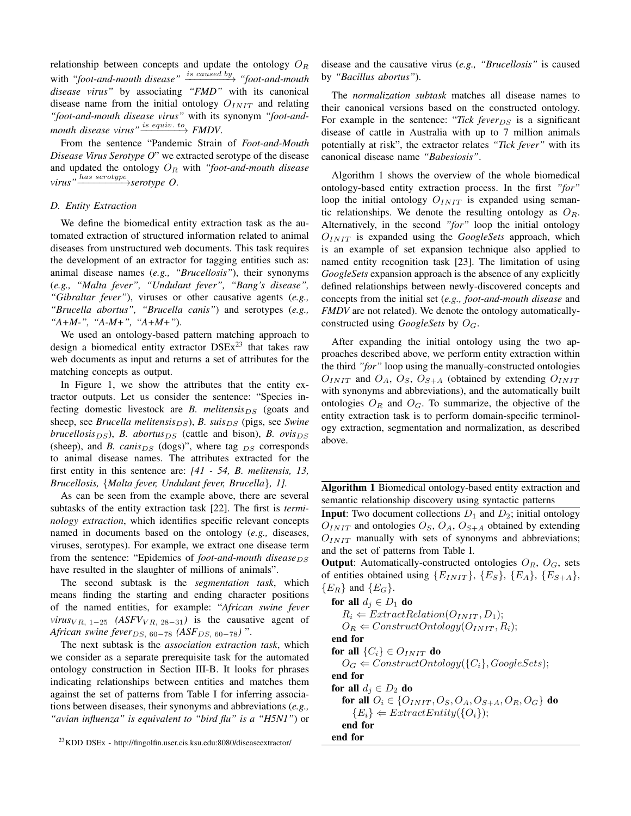relationship between concepts and update the ontology  $O_R$  $\text{with } \text{``foot-and-mouth disease''} \xrightarrow{\text{is caused by}} \text{``foot-and-mouth}}$ *disease virus"* by associating *"FMD"* with its canonical disease name from the initial ontology  $O_{INTT}$  and relating *"foot-and-mouth disease virus"* with its synonym *"foot-and* $mouth\ disease\ virus"\overset{is\ equiv.\ to}{\longrightarrow}FMDV.$ 

From the sentence "Pandemic Strain of *Foot-and-Mouth Disease Virus Serotype O*" we extracted serotype of the disease and updated the ontology  $O_R$  with *"foot-and-mouth disease virus"* has serotype −−−−−−−−→*serotype O*.

## *D. Entity Extraction*

We define the biomedical entity extraction task as the automated extraction of structured information related to animal diseases from unstructured web documents. This task requires the development of an extractor for tagging entities such as: animal disease names (*e.g., "Brucellosis"*), their synonyms (*e.g., "Malta fever", "Undulant fever", "Bang's disease", "Gibraltar fever"*), viruses or other causative agents (*e.g., "Brucella abortus", "Brucella canis"*) and serotypes (*e.g., "A+M-", "A-M+", "A+M+"*).

We used an ontology-based pattern matching approach to design a biomedical entity extractor  $DSEx^{23}$  that takes raw web documents as input and returns a set of attributes for the matching concepts as output.

In Figure 1, we show the attributes that the entity extractor outputs. Let us consider the sentence: "Species infecting domestic livestock are *B. melitensis* $DS$  (goats and sheep, see *Brucella melitensis*<sub>DS</sub>), *B. suis*<sub>DS</sub> (pigs, see *Swine brucellosis* $_{DS}$ ), *B. abortus* $_{DS}$  (cattle and bison), *B. ovis* $_{DS}$ (sheep), and *B. canis* $_{DS}$  (dogs)", where tag  $_{DS}$  corresponds to animal disease names. The attributes extracted for the first entity in this sentence are: *[41 - 54, B. melitensis, 13, Brucellosis,* {*Malta fever, Undulant fever, Brucella*}*, 1].*

As can be seen from the example above, there are several subtasks of the entity extraction task [22]. The first is *terminology extraction*, which identifies specific relevant concepts named in documents based on the ontology (*e.g.,* diseases, viruses, serotypes). For example, we extract one disease term from the sentence: "Epidemics of *foot-and-mouth disease*<sub>DS</sub> have resulted in the slaughter of millions of animals".

The second subtask is the *segmentation task*, which means finding the starting and ending character positions of the named entities, for example: "*African swine fever virus*<sub>VR, 1−25</sub>  $(ASFV<sub>VR, 28–31</sub>)$  is the causative agent of *African swine fever*<sub>DS, 60−78</sub> (ASF<sub>DS, 60−78</sub>) ".

The next subtask is the *association extraction task*, which we consider as a separate prerequisite task for the automated ontology construction in Section III-B. It looks for phrases indicating relationships between entities and matches them against the set of patterns from Table I for inferring associations between diseases, their synonyms and abbreviations (*e.g., "avian influenza" is equivalent to "bird flu" is a "H5N1"*) or disease and the causative virus (*e.g., "Brucellosis"* is caused by *"Bacillus abortus"*).

The *normalization subtask* matches all disease names to their canonical versions based on the constructed ontology. For example in the sentence: "Tick fever<sub>DS</sub> is a significant disease of cattle in Australia with up to 7 million animals potentially at risk", the extractor relates *"Tick fever"* with its canonical disease name *"Babesiosis"*.

Algorithm 1 shows the overview of the whole biomedical ontology-based entity extraction process. In the first *"for"* loop the initial ontology  $O_{INTT}$  is expanded using semantic relationships. We denote the resulting ontology as  $O_R$ . Alternatively, in the second *"for"* loop the initial ontology  $O_{INIT}$  is expanded using the *GoogleSets* approach, which is an example of set expansion technique also applied to named entity recognition task [23]. The limitation of using *GoogleSets* expansion approach is the absence of any explicitly defined relationships between newly-discovered concepts and concepts from the initial set (*e.g., foot-and-mouth disease* and *FMDV* are not related). We denote the ontology automaticallyconstructed using *GoogleSets* by OG.

After expanding the initial ontology using the two approaches described above, we perform entity extraction within the third *"for"* loop using the manually-constructed ontologies  $O_{INT}$  and  $O_A$ ,  $O_S$ ,  $O_{S+A}$  (obtained by extending  $O_{INT}$ with synonyms and abbreviations), and the automatically built ontologies  $O_R$  and  $O_G$ . To summarize, the objective of the entity extraction task is to perform domain-specific terminology extraction, segmentation and normalization, as described above.

Algorithm 1 Biomedical ontology-based entity extraction and semantic relationship discovery using syntactic patterns

**Input**: Two document collections  $D_1$  and  $D_2$ ; initial ontology  $O_{INIT}$  and ontologies  $O_S$ ,  $O_A$ ,  $O_{S+A}$  obtained by extending  $O_{INIT}$  manually with sets of synonyms and abbreviations; and the set of patterns from Table I.

**Output:** Automatically-constructed ontologies  $O_R$ ,  $O_G$ , sets of entities obtained using  $\{E_{INIT}\}, \{E_S\}, \{E_A\}, \{E_{S+A}\},$  ${E_R}$  and  ${E_G}$ .

for all  $d_i \in D_1$  do  $R_i \leftarrow ExtractRelation(O_{INIT}, D_1);$  $O_R \leftarrow ConstructOntology(O_{INIT}, R_i);$ end for for all  $\{C_i\} \in O_{INIT}$  do  $O_G \leftarrow ConstructOntology({C_i}, GoogleSets);$ end for for all  $d_i \in D_2$  do for all  $O_i \in \{O_{INIT}, O_S, O_A, O_{S+A}, O_R, O_G\}$  do  ${E_i} \leftarrow ExtractEntity({O_i});$ end for end for

<sup>23</sup>KDD DSEx - http://fingolfin.user.cis.ksu.edu:8080/diseaseextractor/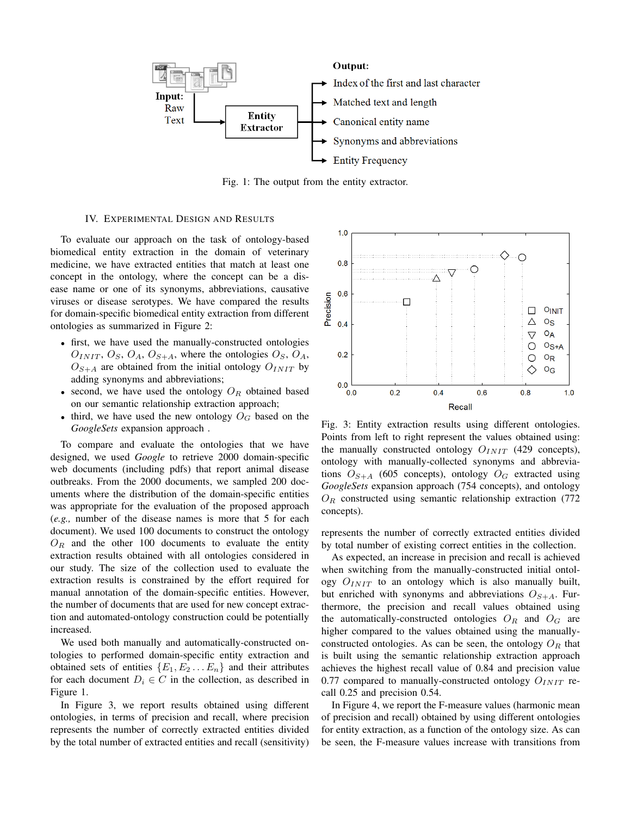

Fig. 1: The output from the entity extractor.

## IV. EXPERIMENTAL DESIGN AND RESULTS

To evaluate our approach on the task of ontology-based biomedical entity extraction in the domain of veterinary medicine, we have extracted entities that match at least one concept in the ontology, where the concept can be a disease name or one of its synonyms, abbreviations, causative viruses or disease serotypes. We have compared the results for domain-specific biomedical entity extraction from different ontologies as summarized in Figure 2:

- first, we have used the manually-constructed ontologies  $O_{INT}$ ,  $O_S$ ,  $O_A$ ,  $O_{S+A}$ , where the ontologies  $O_S$ ,  $O_A$ ,  $O_{S+A}$  are obtained from the initial ontology  $O_{INIT}$  by adding synonyms and abbreviations;
- second, we have used the ontology  $O_R$  obtained based on our semantic relationship extraction approach;
- third, we have used the new ontology  $O_G$  based on the *GoogleSets* expansion approach .

To compare and evaluate the ontologies that we have designed, we used *Google* to retrieve 2000 domain-specific web documents (including pdfs) that report animal disease outbreaks. From the 2000 documents, we sampled 200 documents where the distribution of the domain-specific entities was appropriate for the evaluation of the proposed approach (*e.g.,* number of the disease names is more that 5 for each document). We used 100 documents to construct the ontology  $O_R$  and the other 100 documents to evaluate the entity extraction results obtained with all ontologies considered in our study. The size of the collection used to evaluate the extraction results is constrained by the effort required for manual annotation of the domain-specific entities. However, the number of documents that are used for new concept extraction and automated-ontology construction could be potentially increased.

We used both manually and automatically-constructed ontologies to performed domain-specific entity extraction and obtained sets of entities  $\{E_1, E_2 \dots E_n\}$  and their attributes for each document  $D_i \in C$  in the collection, as described in Figure 1.

In Figure 3, we report results obtained using different ontologies, in terms of precision and recall, where precision represents the number of correctly extracted entities divided by the total number of extracted entities and recall (sensitivity)



Fig. 3: Entity extraction results using different ontologies. Points from left to right represent the values obtained using: the manually constructed ontology  $O_{INIT}$  (429 concepts), ontology with manually-collected synonyms and abbreviations  $O_{S+A}$  (605 concepts), ontology  $O_G$  extracted using *GoogleSets* expansion approach (754 concepts), and ontology  $O_R$  constructed using semantic relationship extraction (772) concepts).

represents the number of correctly extracted entities divided by total number of existing correct entities in the collection.

As expected, an increase in precision and recall is achieved when switching from the manually-constructed initial ontology  $O_{INIT}$  to an ontology which is also manually built, but enriched with synonyms and abbreviations  $O_{S+A}$ . Furthermore, the precision and recall values obtained using the automatically-constructed ontologies  $O_R$  and  $O_G$  are higher compared to the values obtained using the manuallyconstructed ontologies. As can be seen, the ontology  $O_R$  that is built using the semantic relationship extraction approach achieves the highest recall value of 0.84 and precision value 0.77 compared to manually-constructed ontology  $O_{INIT}$  recall 0.25 and precision 0.54.

In Figure 4, we report the F-measure values (harmonic mean of precision and recall) obtained by using different ontologies for entity extraction, as a function of the ontology size. As can be seen, the F-measure values increase with transitions from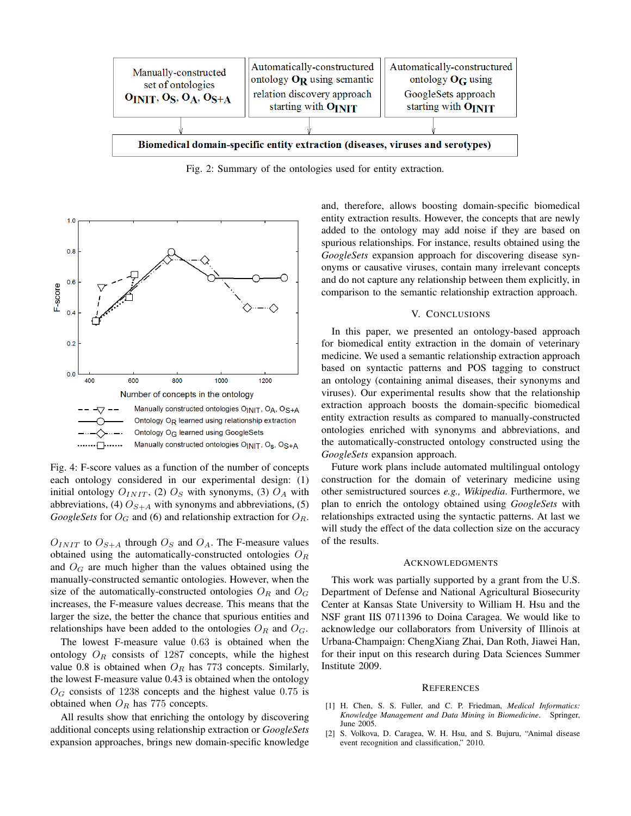

Fig. 2: Summary of the ontologies used for entity extraction.



Fig. 4: F-score values as a function of the number of concepts each ontology considered in our experimental design: (1) initial ontology  $O_{INIT}$ , (2)  $O_S$  with synonyms, (3)  $O_A$  with abbreviations, (4)  $O_{S+A}$  with synonyms and abbreviations, (5) *GoogleSets* for  $O_G$  and (6) and relationship extraction for  $O_R$ .

 $O_{INIT}$  to  $O_{S+A}$  through  $O_S$  and  $O_A$ . The F-measure values obtained using the automatically-constructed ontologies  $O_R$ and  $O<sub>G</sub>$  are much higher than the values obtained using the manually-constructed semantic ontologies. However, when the size of the automatically-constructed ontologies  $O_R$  and  $O_G$ increases, the F-measure values decrease. This means that the larger the size, the better the chance that spurious entities and relationships have been added to the ontologies  $O_R$  and  $O_G$ .

The lowest F-measure value 0.63 is obtained when the ontology  $O_R$  consists of 1287 concepts, while the highest value 0.8 is obtained when  $O_R$  has 773 concepts. Similarly, the lowest F-measure value 0.43 is obtained when the ontology  $O_G$  consists of 1238 concepts and the highest value 0.75 is obtained when  $O_R$  has 775 concepts.

All results show that enriching the ontology by discovering additional concepts using relationship extraction or *GoogleSets* expansion approaches, brings new domain-specific knowledge and, therefore, allows boosting domain-specific biomedical entity extraction results. However, the concepts that are newly added to the ontology may add noise if they are based on spurious relationships. For instance, results obtained using the *GoogleSets* expansion approach for discovering disease synonyms or causative viruses, contain many irrelevant concepts and do not capture any relationship between them explicitly, in comparison to the semantic relationship extraction approach.

## V. CONCLUSIONS

In this paper, we presented an ontology-based approach for biomedical entity extraction in the domain of veterinary medicine. We used a semantic relationship extraction approach based on syntactic patterns and POS tagging to construct an ontology (containing animal diseases, their synonyms and viruses). Our experimental results show that the relationship extraction approach boosts the domain-specific biomedical entity extraction results as compared to manually-constructed ontologies enriched with synonyms and abbreviations, and the automatically-constructed ontology constructed using the *GoogleSets* expansion approach.

Future work plans include automated multilingual ontology construction for the domain of veterinary medicine using other semistructured sources *e.g., Wikipedia*. Furthermore, we plan to enrich the ontology obtained using *GoogleSets* with relationships extracted using the syntactic patterns. At last we will study the effect of the data collection size on the accuracy of the results.

### ACKNOWLEDGMENTS

This work was partially supported by a grant from the U.S. Department of Defense and National Agricultural Biosecurity Center at Kansas State University to William H. Hsu and the NSF grant IIS 0711396 to Doina Caragea. We would like to acknowledge our collaborators from University of Illinois at Urbana-Champaign: ChengXiang Zhai, Dan Roth, Jiawei Han, for their input on this research during Data Sciences Summer Institute 2009.

#### **REFERENCES**

- [1] H. Chen, S. S. Fuller, and C. P. Friedman, *Medical Informatics: Knowledge Management and Data Mining in Biomedicine*. Springer, June 2005.
- [2] S. Volkova, D. Caragea, W. H. Hsu, and S. Bujuru, "Animal disease event recognition and classification," 2010.